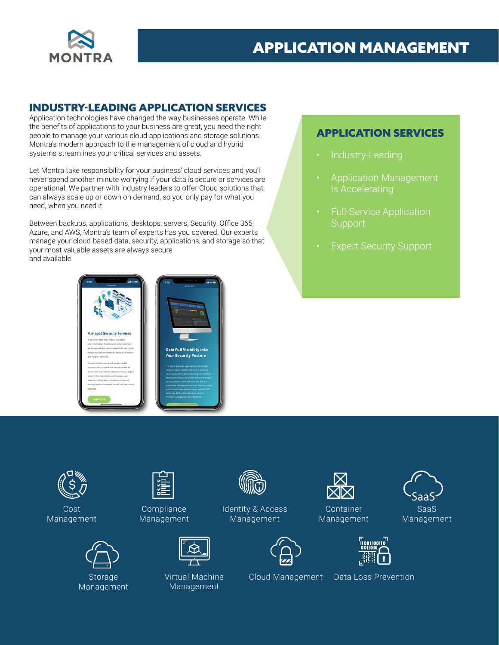

# APPLICATION MANAGEMENT

#### INDUSTRY-LEADING APPLICATION SERVICES

Application technologies have changed the way businesses operate. While the benefits of applications to your business are great, you need the right people to manage your various cloud applications and storage solutions. Montra's modern approach to the management of cloud and hybrid systems streamlines your critical services and assets.

Let Montra take responsibility for your business' cloud services and you'll never spend another minute worrying if your data is secure or services are operational. We partner with industry leaders to offer Cloud solutions that can always scale up or down on demand, so you only pay for what you need, when you need it.

Between backups, applications, desktops, servers, Security, Office 365, Azure, and AWS, Montra's team of experts has you covered. Our experts manage your cloud-based data, security, applications, and storage so that your most valuable assets are always secure and available.



### APPLICATION SERVICES

- Industry-Leading
- Application Management is Accelerating
- Full-Service Application Support
- **Expert Security Support**



**Cost** Management



**Storage** Management



**Compliance** Management



Virtual Machine Management



Identity & Access Management





Container Management



SaaS Management



- Data Loss Prevention
-